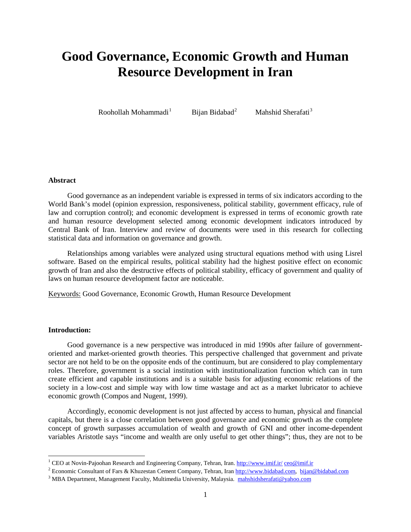# **Good Governance, Economic Growth and Human Resource Development in Iran**

Roohollah Mohammadi<sup>1</sup>

Bijan Bidabad<sup>2</sup>

Mahshid Sherafati<sup>3</sup>

#### **Abstract**

Good governance as an independent variable is expressed in terms of six indicators according to the World Bank's model (opinion expression, responsiveness, political stability, government efficacy, rule of law and corruption control); and economic development is expressed in terms of economic growth rate and human resource development selected among economic development indicators introduced by Central Bank of Iran. Interview and review of documents were used in this research for collecting statistical data and information on governance and growth.

Relationships among variables were analyzed using structural equations method with using Lisrel software. Based on the empirical results, political stability had the highest positive effect on economic growth of Iran and also the destructive effects of political stability, efficacy of government and quality of laws on human resource development factor are noticeable.

Keywords: Good Governance, Economic Growth, Human Resource Development

## **Introduction:**

Good governance is a new perspective was introduced in mid 1990s after failure of governmentoriented and market-oriented growth theories. This perspective challenged that government and private sector are not held to be on the opposite ends of the continuum, but are considered to play complementary roles. Therefore, government is a social institution with institutionalization function which can in turn create efficient and capable institutions and is a suitable basis for adjusting economic relations of the society in a low-cost and simple way with low time wastage and act as a market lubricator to achieve economic growth (Compos and Nugent, 1999).

Accordingly, economic development is not just affected by access to human, physical and financial capitals, but there is a close correlation between good governance and economic growth as the complete concept of growth surpasses accumulation of wealth and growth of GNI and other income-dependent variables Aristotle says "income and wealth are only useful to get other things"; thus, they are not to be

<sup>&</sup>lt;sup>1</sup> CEO at Novin-Pajoohan Research and Engineering Company, Tehran, Iran[. http://www.imif.ir/](http://www.imif.ir/) [ceo@imif.ir](mailto:ceo@imif.ir)

<sup>2</sup> Economic Consultant of Fars & Khuzestan Cement Company, Tehran, Ira[n http://www.bidabad.com,](http://www.bidabad.com/) [bijan@bidabad.com](mailto:bijan@bidabad.com)

<sup>&</sup>lt;sup>3</sup> MBA Department, Management Faculty, Multimedia University, Malaysia. [mahshidsherafati@yahoo.com](mailto:mahshidsherafati@yahoo.com)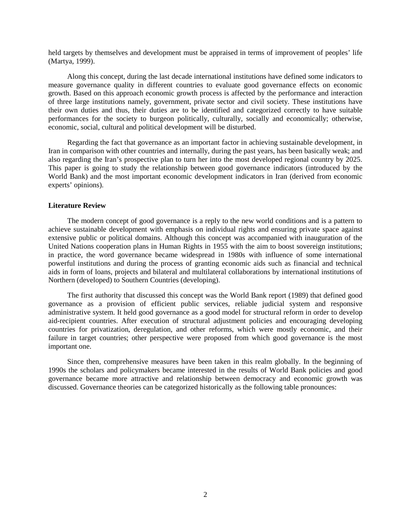held targets by themselves and development must be appraised in terms of improvement of peoples' life (Martya, 1999).

Along this concept, during the last decade international institutions have defined some indicators to measure governance quality in different countries to evaluate good governance effects on economic growth. Based on this approach economic growth process is affected by the performance and interaction of three large institutions namely, government, private sector and civil society. These institutions have their own duties and thus, their duties are to be identified and categorized correctly to have suitable performances for the society to burgeon politically, culturally, socially and economically; otherwise, economic, social, cultural and political development will be disturbed.

Regarding the fact that governance as an important factor in achieving sustainable development, in Iran in comparison with other countries and internally, during the past years, has been basically weak; and also regarding the Iran's prospective plan to turn her into the most developed regional country by 2025. This paper is going to study the relationship between good governance indicators (introduced by the World Bank) and the most important economic development indicators in Iran (derived from economic experts' opinions).

#### **Literature Review**

The modern concept of good governance is a reply to the new world conditions and is a pattern to achieve sustainable development with emphasis on individual rights and ensuring private space against extensive public or political domains. Although this concept was accompanied with inauguration of the United Nations cooperation plans in Human Rights in 1955 with the aim to boost sovereign institutions; in practice, the word governance became widespread in 1980s with influence of some international powerful institutions and during the process of granting economic aids such as financial and technical aids in form of loans, projects and bilateral and multilateral collaborations by international institutions of Northern (developed) to Southern Countries (developing).

The first authority that discussed this concept was the World Bank report (1989) that defined good governance as a provision of efficient public services, reliable judicial system and responsive administrative system. It held good governance as a good model for structural reform in order to develop aid-recipient countries. After execution of structural adjustment policies and encouraging developing countries for privatization, deregulation, and other reforms, which were mostly economic, and their failure in target countries; other perspective were proposed from which good governance is the most important one.

Since then, comprehensive measures have been taken in this realm globally. In the beginning of 1990s the scholars and policymakers became interested in the results of World Bank policies and good governance became more attractive and relationship between democracy and economic growth was discussed. Governance theories can be categorized historically as the following table pronounces: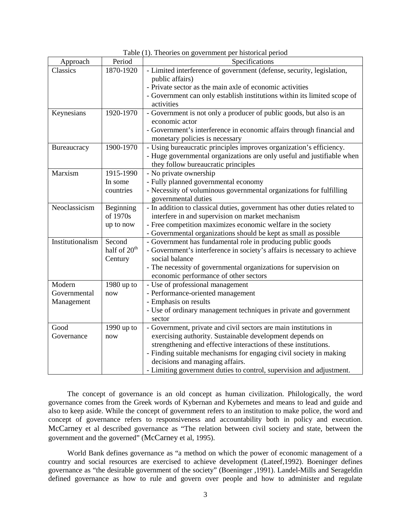| Approach         | Period                   | Specifications                                                            |  |  |  |
|------------------|--------------------------|---------------------------------------------------------------------------|--|--|--|
| Classics         | 1870-1920                | - Limited interference of government (defense, security, legislation,     |  |  |  |
|                  |                          | public affairs)                                                           |  |  |  |
|                  |                          | - Private sector as the main axle of economic activities                  |  |  |  |
|                  |                          | - Government can only establish institutions within its limited scope of  |  |  |  |
|                  |                          | activities                                                                |  |  |  |
| Keynesians       | 1920-1970                | - Government is not only a producer of public goods, but also is an       |  |  |  |
|                  |                          | economic actor                                                            |  |  |  |
|                  |                          | - Government's interference in economic affairs through financial and     |  |  |  |
|                  |                          | monetary policies is necessary                                            |  |  |  |
| Bureaucracy      | 1900-1970                | - Using bureaucratic principles improves organization's efficiency.       |  |  |  |
|                  |                          | - Huge governmental organizations are only useful and justifiable when    |  |  |  |
|                  |                          | they follow bureaucratic principles                                       |  |  |  |
| Marxism          | 1915-1990                | - No private ownership                                                    |  |  |  |
|                  | In some                  | - Fully planned governmental economy                                      |  |  |  |
|                  | countries                | - Necessity of voluminous governmental organizations for fulfilling       |  |  |  |
|                  |                          | governmental duties                                                       |  |  |  |
| Neoclassicism    | Beginning                | - In addition to classical duties, government has other duties related to |  |  |  |
|                  | of 1970s                 | interfere in and supervision on market mechanism                          |  |  |  |
|                  | up to now                | - Free competition maximizes economic welfare in the society              |  |  |  |
|                  |                          | - Governmental organizations should be kept as small as possible          |  |  |  |
| Institutionalism | Second                   | - Government has fundamental role in producing public goods               |  |  |  |
|                  | half of 20 <sup>th</sup> | - Government's interference in society's affairs is necessary to achieve  |  |  |  |
|                  | Century                  | social balance                                                            |  |  |  |
|                  |                          | - The necessity of governmental organizations for supervision on          |  |  |  |
|                  |                          | economic performance of other sectors                                     |  |  |  |
| Modern           | 1980 up to               | - Use of professional management                                          |  |  |  |
| Governmental     | now                      | - Performance-oriented management                                         |  |  |  |
| Management       |                          | - Emphasis on results                                                     |  |  |  |
|                  |                          | - Use of ordinary management techniques in private and government         |  |  |  |
|                  |                          | sector                                                                    |  |  |  |
| Good             | 1990 up to               | - Government, private and civil sectors are main institutions in          |  |  |  |
| Governance       | now                      | exercising authority. Sustainable development depends on                  |  |  |  |
|                  |                          | strengthening and effective interactions of these institutions.           |  |  |  |
|                  |                          | - Finding suitable mechanisms for engaging civil society in making        |  |  |  |
|                  |                          | decisions and managing affairs.                                           |  |  |  |
|                  |                          | - Limiting government duties to control, supervision and adjustment.      |  |  |  |

Table (1). Theories on government per historical period

The concept of governance is an old concept as human civilization. Philologically, the word governance comes from the Greek words of Kybernan and Kybernetes and means to lead and guide and also to keep aside. While the concept of government refers to an institution to make police, the word and concept of governance refers to responsiveness and accountability both in policy and execution. McCarney et al described governance as "The relation between civil society and state, between the government and the governed" (McCarney et al, 1995).

World Bank defines governance as "a method on which the power of economic management of a country and social resources are exercised to achieve development (Lateef,1992). Boeninger defines governance as "the desirable government of the society" (Boeninger ,1991). Landel-Mills and Serageldin defined governance as how to rule and govern over people and how to administer and regulate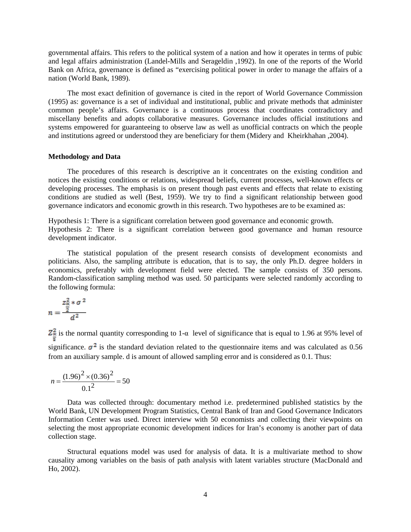governmental affairs. This refers to the political system of a nation and how it operates in terms of pubic and legal affairs administration (Landel-Mills and Serageldin ,1992). In one of the reports of the World Bank on Africa, governance is defined as "exercising political power in order to manage the affairs of a nation (World Bank, 1989).

The most exact definition of governance is cited in the report of World Governance Commission (1995) as: governance is a set of individual and institutional, public and private methods that administer common people's affairs. Governance is a continuous process that coordinates contradictory and miscellany benefits and adopts collaborative measures. Governance includes official institutions and systems empowered for guaranteeing to observe law as well as unofficial contracts on which the people and institutions agreed or understood they are beneficiary for them (Midery and Kheirkhahan ,2004).

#### **Methodology and Data**

The procedures of this research is descriptive an it concentrates on the existing condition and notices the existing conditions or relations, widespread beliefs, current processes, well-known effects or developing processes. The emphasis is on present though past events and effects that relate to existing conditions are studied as well (Best, 1959). We try to find a significant relationship between good governance indicators and economic growth in this research. Two hypotheses are to be examined as:

Hypothesis 1: There is a significant correlation between good governance and economic growth. Hypothesis 2: There is a significant correlation between good governance and human resource development indicator.

The statistical population of the present research consists of development economists and politicians. Also, the sampling attribute is education, that is to say, the only Ph.D. degree holders in economics, preferably with development field were elected. The sample consists of 350 persons. Random-classification sampling method was used. 50 participants were selected randomly according to the following formula:

$$
n = \frac{\frac{z_{\alpha}^2 * \sigma^2}{2}}{d^2}
$$

 $\mathbb{Z}_{\pm}^2$  is the normal quantity corresponding to 1- $\alpha$  level of significance that is equal to 1.96 at 95% level of significance.  $\sigma^2$  is the standard deviation related to the questionnaire items and was calculated as 0.56 from an auxiliary sample. d is amount of allowed sampling error and is considered as 0.1. Thus:

$$
n = \frac{(1.96)^2 \times (0.36)^2}{0.1^2} = 50
$$

Data was collected through: documentary method i.e. predetermined published statistics by the World Bank, UN Development Program Statistics, Central Bank of Iran and Good Governance Indicators Information Center was used. Direct interview with 50 economists and collecting their viewpoints on selecting the most appropriate economic development indices for Iran's economy is another part of data collection stage.

Structural equations model was used for analysis of data. It is a multivariate method to show causality among variables on the basis of path analysis with latent variables structure (MacDonald and Ho, 2002).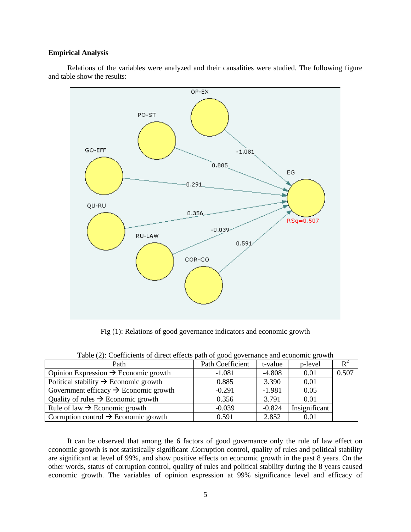#### **Empirical Analysis**

Relations of the variables were analyzed and their causalities were studied. The following figure and table show the results:



Fig (1): Relations of good governance indicators and economic growth

| Path                                              | Path Coefficient | t-value  | p-level       | $\mathbf{R}^2$ |  |
|---------------------------------------------------|------------------|----------|---------------|----------------|--|
| Opinion Expression $\rightarrow$ Economic growth  | $-1.081$         | $-4.808$ | 0.01          | 0.507          |  |
| Political stability $\rightarrow$ Economic growth | 0.885            | 3.390    | 0.01          |                |  |
| Government efficacy $\rightarrow$ Economic growth | $-0.291$         | $-1.981$ | 0.05          |                |  |
| Quality of rules $\rightarrow$ Economic growth    | 0.356            | 3.791    | 0.01          |                |  |
| Rule of law $\rightarrow$ Economic growth         | $-0.039$         | $-0.824$ | Insignificant |                |  |
| Corruption control $\rightarrow$ Economic growth  | 0.591            | 2.852    | 0.01          |                |  |

Table (2): Coefficients of direct effects path of good governance and economic growth

It can be observed that among the 6 factors of good governance only the rule of law effect on economic growth is not statistically significant .Corruption control, quality of rules and political stability are significant at level of 99%, and show positive effects on economic growth in the past 8 years. On the other words, status of corruption control, quality of rules and political stability during the 8 years caused economic growth. The variables of opinion expression at 99% significance level and efficacy of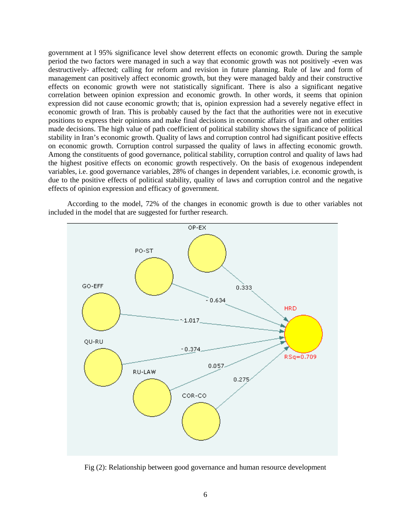government at l 95% significance level show deterrent effects on economic growth. During the sample period the two factors were managed in such a way that economic growth was not positively -even was destructively- affected; calling for reform and revision in future planning. Rule of law and form of management can positively affect economic growth, but they were managed baldy and their constructive effects on economic growth were not statistically significant. There is also a significant negative correlation between opinion expression and economic growth. In other words, it seems that opinion expression did not cause economic growth; that is, opinion expression had a severely negative effect in economic growth of Iran. This is probably caused by the fact that the authorities were not in executive positions to express their opinions and make final decisions in economic affairs of Iran and other entities made decisions. The high value of path coefficient of political stability shows the significance of political stability in Iran's economic growth. Quality of laws and corruption control had significant positive effects on economic growth. Corruption control surpassed the quality of laws in affecting economic growth. Among the constituents of good governance, political stability, corruption control and quality of laws had the highest positive effects on economic growth respectively. On the basis of exogenous independent variables, i.e. good governance variables, 28% of changes in dependent variables, i.e. economic growth, is due to the positive effects of political stability, quality of laws and corruption control and the negative effects of opinion expression and efficacy of government.





Fig (2): Relationship between good governance and human resource development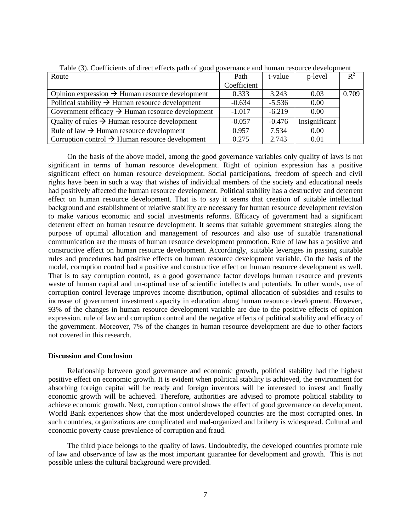| Route                                                        | Path        | t-value  | p-level       | $\mathbf{R}^2$ |
|--------------------------------------------------------------|-------------|----------|---------------|----------------|
|                                                              | Coefficient |          |               |                |
| Opinion expression $\rightarrow$ Human resource development  | 0.333       | 3.243    | 0.03          | 0.709          |
| Political stability $\rightarrow$ Human resource development | $-0.634$    | $-5.536$ | 0.00          |                |
| Government efficacy $\rightarrow$ Human resource development | $-1.017$    | $-6.219$ | 0.00          |                |
| Quality of rules $\rightarrow$ Human resource development    | $-0.057$    | $-0.476$ | Insignificant |                |
| Rule of law $\rightarrow$ Human resource development         | 0.957       | 7.534    | 0.00          |                |
| Corruption control $\rightarrow$ Human resource development  | 0.275       | 2.743    | 0.01          |                |

Table (3). Coefficients of direct effects path of good governance and human resource development

On the basis of the above model, among the good governance variables only quality of laws is not significant in terms of human resource development. Right of opinion expression has a positive significant effect on human resource development. Social participations, freedom of speech and civil rights have been in such a way that wishes of individual members of the society and educational needs had positively affected the human resource development. Political stability has a destructive and deterrent effect on human resource development. That is to say it seems that creation of suitable intellectual background and establishment of relative stability are necessary for human resource development revision to make various economic and social investments reforms. Efficacy of government had a significant deterrent effect on human resource development. It seems that suitable government strategies along the purpose of optimal allocation and management of resources and also use of suitable transnational communication are the musts of human resource development promotion. Rule of law has a positive and constructive effect on human resource development. Accordingly, suitable leverages in passing suitable rules and procedures had positive effects on human resource development variable. On the basis of the model, corruption control had a positive and constructive effect on human resource development as well. That is to say corruption control, as a good governance factor develops human resource and prevents waste of human capital and un-optimal use of scientific intellects and potentials. In other words, use of corruption control leverage improves income distribution, optimal allocation of subsidies and results to increase of government investment capacity in education along human resource development. However, 93% of the changes in human resource development variable are due to the positive effects of opinion expression, rule of law and corruption control and the negative effects of political stability and efficacy of the government. Moreover, 7% of the changes in human resource development are due to other factors not covered in this research.

## **Discussion and Conclusion**

Relationship between good governance and economic growth, political stability had the highest positive effect on economic growth. It is evident when political stability is achieved, the environment for absorbing foreign capital will be ready and foreign inventors will be interested to invest and finally economic growth will be achieved. Therefore, authorities are advised to promote political stability to achieve economic growth. Next, corruption control shows the effect of good governance on development. World Bank experiences show that the most underdeveloped countries are the most corrupted ones. In such countries, organizations are complicated and mal-organized and bribery is widespread. Cultural and economic poverty cause prevalence of corruption and fraud.

The third place belongs to the quality of laws. Undoubtedly, the developed countries promote rule of law and observance of law as the most important guarantee for development and growth. This is not possible unless the cultural background were provided.